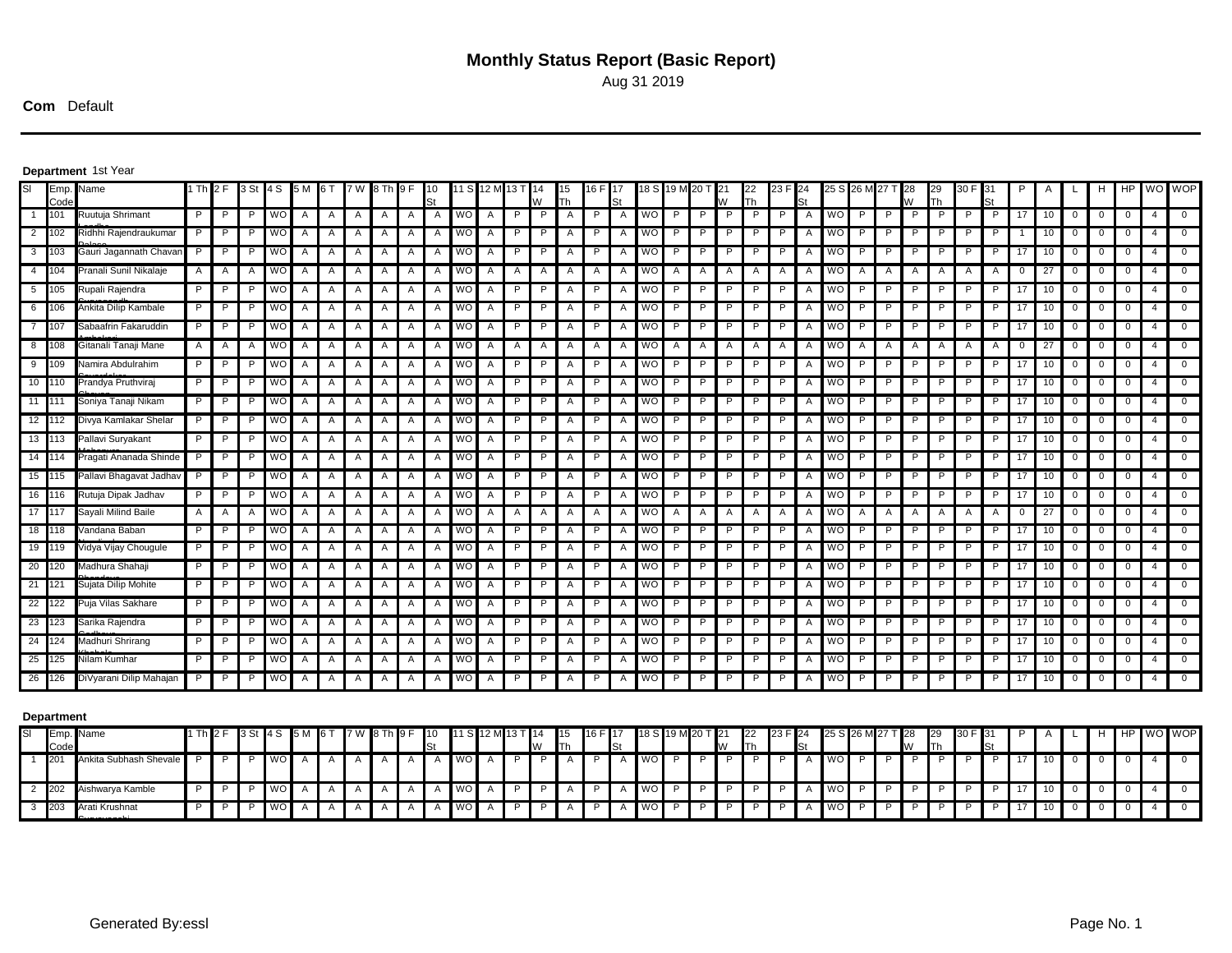## **Monthly Status Report (Basic Report)**

Aug 31 2019

**Com** Default

**pany:**

| Department 1st Year |                   |                         |                |                |      |           |              |   |              |                |                |    |           |   |    |         |                 |     |   |           |                |   |    |                |                |   |           |              |   |              |          |                |          |          |                 |                |              |                |                |                |
|---------------------|-------------------|-------------------------|----------------|----------------|------|-----------|--------------|---|--------------|----------------|----------------|----|-----------|---|----|---------|-----------------|-----|---|-----------|----------------|---|----|----------------|----------------|---|-----------|--------------|---|--------------|----------|----------------|----------|----------|-----------------|----------------|--------------|----------------|----------------|----------------|
| SI                  | Code              | Emp. Name               | 1 Th           |                | St   | 4 S       | 5 M          |   |              | 8 Th           |                | 10 |           |   |    | 14<br>N | Th              |     |   |           |                |   |    | Th             |                |   |           |              |   | 28           |          | 30 I           |          |          | А               |                | н            | <b>HP</b>      |                | WO WOP         |
| $\overline{1}$      | 101               | Ruutuja Shrimant        | $\overline{P}$ | P              | P    | <b>WO</b> | A            | A | A            | A              | A              | A  | <b>WO</b> | A | -P | P       | Α               | P   | A | <b>WO</b> | P              | P | P  |                | P              | A | WO        | $\mathsf{P}$ | P | P            | P        | P              | P        | 17       | 10 <sup>1</sup> | $\mathbf 0$    | $\mathbf 0$  | $\overline{0}$ | 4              | $\mathbf 0$    |
| $\overline{2}$      | 102               | Ridhhi Rajendraukumar   | P              | P.             | P.   | WO        | A            | A | A            | A              | $\mathsf{A}$   | A  | WO        | Α |    | P       | A               |     | A | WO        | P              |   |    |                | P              | A | WO        | P            | P |              | P        | P              | P        |          | 10              | 0              | $\mathbf{0}$ | $\mathbf 0$    | 4              | $\Omega$       |
| $\mathbf{3}$        | 103               | Gauri Jagannath Chavar  | P              | P              | P    | WO        | Α            | A | A            | A              | A              | A  | <b>WO</b> | A |    | P       | A               | P   | A | WO        | P              | P | P. | P              | P              | A | WO        | P            | P |              | P        | P              | P        | 17       | 10              | 0              | $\mathbf 0$  | 0              | 4              | $\Omega$       |
| 4                   | 104               | Pranali Sunil Nikalaje  | A              | A              | A    | <b>WO</b> | A            | A | A            | A              | $\mathsf{A}$   | A  | WO        | A | A  | A       | A               | A   | A | WO        | A              | A | A  | A              | A              | A | WO        | A            | A | $\mathsf{A}$ | A        | A              | A        | $\Omega$ | 27              | 0              | 0            | 0              | 4              | $\Omega$       |
| 5                   | 105               | Rupali Rajendra         | P              | P              | P    | WO        | A            | A | Α            | A              | A              | A  | WO        | A |    | P       | A               | P   | A | WO        | P              | P | P. | P              | P              | A | WO        | P            | P | P            | P        | P              | P        | 17       | 10              | 0              | 0            | $\mathbf 0$    | $\overline{4}$ | $\mathbf 0$    |
| 6                   | 106               | Ankita Dilip Kambale    | P              | P              | P    | WO        | Α            | A | A            | A              | A              | Α  | WO        | A | P  | P.      | Α               | P   | A | <b>WO</b> | P              | P | P  | P              | P              | A | WO        | P            | P | P            | P        | P              | P        | 17       | 10              | 0              | 0            | $\mathbf 0$    | 4              | $\mathbf 0$    |
| 7                   | 107               | Sabaafrin Fakaruddin    | P              | P              | P    | WO        | Α            | A | Α            | Α              | A              | A  | <b>WO</b> | A | P  | P       | A               | P   | A | WO        | P              | P | P  | P              | P              | Α | WO        | P            | P |              | P        | P              | P        | 17       | 10              | 0              | $\mathbf 0$  | 0              | $\overline{4}$ | $\mathbf 0$    |
| 8                   | 108               | Gitanali Tanaji Mane    | $\mathsf{A}$   | A              | A    | WO        | Α            | A | A            | A              | A              | Α  | WO        | A | A  | A       | A               | A   | A | WO        | A              | A | A  | A              | $\mathsf{A}$   | A | WO        | A            | A | A            | A        | A              | A        | $\Omega$ | 27              | 0              | 0            | $\mathbf 0$    | $\overline{4}$ | $\mathbf 0$    |
| 9                   | 109               | Namira Abdulrahim       | P              | P              | P    | WO        | Α            | A | A            | A              | A              | A  | WO        | Α | P  | P       | A               | P   | A | WO.       | P              | P | P  | P              | P              | A | WO        | P            | P | P            | P        | P              | P        | 17       | 10              | $\mathbf 0$    | 0            | $\mathbf 0$    | $\overline{4}$ | $\mathbf 0$    |
| 10                  | 110               | Prandya Pruthviraj      | P              | P              | P    | WO        | Α            | A | A            | A              | A              | A  | WO        | A | P  | P.      | A               | P   | A | <b>WO</b> | P              | P | P. | P              | P              | A | WO        | P            | P | P            | P        | P              | P        | -17      | 10              | 0              | $\mathbf 0$  | $\overline{0}$ | 4              | $\mathbf 0$    |
|                     | 11 111            | Soniya Tanaji Nikam     | P              | P              | P    | <b>WO</b> | Α            | A | A            | A              | A              | A  | <b>WO</b> | A | P  | P       | A               | P   | A | <b>WO</b> | P              | P | P. | P              | P              | A | WO        | P            | P |              | P        | P              | P        | 17       | 10              | $\mathbf 0$    | $\mathbf 0$  | $\mathbf 0$    | 4              | $\mathbf 0$    |
| 12                  | 112               | Divya Kamlakar Shelar   | P              | P              | P    | <b>WO</b> | A            | A | A            | A              | $\overline{A}$ | A  | WO        | A |    | P       | A               |     | A | WO        | P              |   | P  | P              | <b>P</b>       | A | WO        | P            | P |              |          | P              | P        | 17       | 10              | 0              | $\mathbf 0$  | $\mathbf 0$    | 4              | $\Omega$       |
| 13                  | 113               | Pallavi Suryakant       | $\mathsf{P}$   | P              | P    | <b>WO</b> | A            | A | A            | $\overline{A}$ | A              | A  | WO        | A | P  | P       | $\overline{A}$  | P   | A | wo        | P              | P | P. | P              | P              | A | <b>WO</b> | P            | P | P            | P        | P              | P        | 17       | 10              | $\mathbf 0$    | 0            | $\mathbf 0$    | $\overline{4}$ | $\overline{0}$ |
| 14                  | 114               | Pragati Ananada Shinde  | P              | P              | P    | <b>WO</b> | A            | A | Α            | A              | A              | A  | <b>WO</b> | A | P  | P.      | $\mathsf{A}$    | P   | A | wo        | P              | P | P  | P              | P              | A | <b>WO</b> | P            | P | P            | P        | P              | P        | 17       | 10              | 0              | $\mathbf 0$  | $\mathbf 0$    | 4              | $\mathbf 0$    |
| 15                  | 115               | Pallavi Bhagavat Jadhav | $\mathsf{P}$   | P              | P    | <b>WO</b> | A            | A | Α            | $\overline{A}$ |                |    | <b>WO</b> | A | P  | P       | $\overline{A}$  | P   |   | <b>WO</b> | P              | P | P  | P              | P              | A | <b>WO</b> | P            | P |              | P        | P              | P        | 17       | 10              | 0              | $\mathbf 0$  | 0              | $\overline{4}$ | $\mathbf 0$    |
| 16                  | 116               | Rutuja Dipak Jadhav     | $\mathsf{P}$   | P              | P    | <b>WO</b> | A            | A | A            | A              | A              | A  | WO        | A | P  | P.      | A               | P   | A | <b>WO</b> | P              | P | P  | P              | P              | A | <b>WO</b> | $\mathsf{P}$ | P |              | P        | P              | P        | 17       | 10              | 0              | $\mathbf 0$  | 0              | $\overline{4}$ | 0              |
| 17                  | 117               | Sayali Milind Baile     | A              | A              | A    | <b>WO</b> | A            | A | A            | A              | A              | A  | <b>WO</b> | A | A  | A       | A               | A   | A | WO        | Α              | A | A  | $\overline{A}$ | Α              | A | WO        | A            | A | A            | A        | $\overline{A}$ | A        | $\Omega$ | 27              | 0              | $\mathbf 0$  | 0              | $\overline{4}$ | $\mathbf 0$    |
| 18                  | 118               | √andana Baban           | P              | P              | P    | WO        | Α            | A | A            | A              | A              | Α  | WO        | A | P  | P       | A               | P   | A | WO        | P              | P | P. | P              | P              | A | <b>WO</b> | P            | P | P            | P        | P              | P        | 17       | 10              | $\mathbf 0$    | 0            | 0              | $\overline{4}$ | 0              |
| 19                  | 119               | Vidya Vijay Chougule    | P              | P              | P    | <b>WO</b> | Α            | A | A            | A              | A              | Α  | WO        | A | P  | P       | A               | P   | A | <b>WO</b> | P              | P | P. | P              | P              | A | <b>WO</b> | $\mathsf{P}$ | P | P            | P        | P              | P        | 17       | 10              | $\mathbf 0$    | $\mathbf 0$  | 0              | $\overline{4}$ | $\mathbf 0$    |
| 20                  | 120               | Madhura Shahaji         | $\overline{P}$ | P              | P    | WO        | Α            | A | Α            | A              | A              | Α  | WO        | Α | P  | P       | Α               | P   | A | <b>WO</b> | P              | P | P  | P              | P              | A | WO        | P            | P | P            | P        | P              | P        | 17       | 10              | $\mathbf 0$    | 0            | $\mathbf 0$    | $\overline{4}$ | $\mathbf 0$    |
| 21                  | 121               | Sujata Dilip Mohite     | $\overline{P}$ | $\overline{P}$ | P    | WO        | Α            | Α | A            | A              | A              | Α  | <b>WO</b> | Α | P  | P       | Α               | P   | A | WO        | $\overline{P}$ | P | P  | P              | $\overline{P}$ | Α | WO        | P            | P | P            | P        | $\overline{P}$ | P        | 17       | 10              | 0              | 0            | $\mathbf 0$    | $\overline{4}$ | $\mathbf 0$    |
| 22                  | 122               | Puja Vilas Sakhare      | P              | P              | P    | WO        | Α            | A | A            | A              | A              | Α  | <b>WO</b> | Α | P  | P       | A               | P   | A | WO        | P              | P | P  | P              | P              | Α | WO        | P            | P | P            | P        | P              | P        | 17       | 10              | 0              | 0            | $\mathbf 0$    | $\overline{4}$ | 0              |
| 23                  | 123               | Sarika Rajendra         | $\mathsf{P}$   | P              | P    | WO        | A            | A | Α            | A              | A              | A  | WO        | A |    | P       | A               |     | A | WO        | P              |   | P  | P              | P              | A | WO        | P            | P |              |          | P              | P        | 17       | 10              | 0              | 0            | 0              | 4              | $\mathbf 0$    |
| 24                  | 124               | Madhuri Shrirang        | P              | P              | P    | WO        | Α            | Α | A            | Α              | A              | Α  | WO        | Α | P  | P       | $\overline{A}$  | P   | A | WO        | P              | P | P  | P              | P              | Α | WO        | P            | P | P            | P        | P              | P        | 17       | 10              | 0              | 0            | $\mathbf 0$    | $\overline{4}$ | $\mathbf 0$    |
| 25                  | 125               | Nilam Kumhar            | P              | P              | P    | WO        | Α            | Α | Α            | Α              | A              | Α  | WO        | Α | P  | P       | $\overline{A}$  | P   | Α | WO        | P              | P | P. | P              | P              | Α | WO        | P            | P | P            | P        | P              | P        | 17       | 10              | 0              | 0            | $\mathbf 0$    | $\overline{4}$ | $\mathbf 0$    |
|                     | 26 126            | DiVyarani Dilip Mahajan | P              | P              | P    | WO        | Α            | Α | $\mathsf{A}$ | Α              | A              | Α  | <b>WO</b> | A | P  | P       | A               | P   | A | <b>WO</b> | P              | P | P  | P              | P              | Α | WO        | P            | P | P            | P        | P              | P        | 17       | 10              | 0              | 0            | $\mathbf 0$    | $\overline{4}$ | $\overline{0}$ |
|                     | <b>Department</b> |                         |                |                |      |           |              |   |              |                |                |    |           |   |    |         |                 |     |   |           |                |   |    |                |                |   |           |              |   |              |          |                |          |          |                 |                |              |                |                |                |
| SI                  | Code              | Emp. Name               | 1 Th           |                | . St | 4 S       | 5 M          |   | W            |                |                | 10 | 1 S       |   |    | 14<br>W | 15<br><b>Th</b> | 6 I |   |           |                |   |    | 22<br>Th       | 23 F           |   |           |              |   | 28           | 29<br>Th | 30 F           | 31<br>St |          | A               |                | Н            | HP             |                | WO WOP         |
| $\overline{1}$      | 201               | Ankita Subhash Shevale  | $\mathsf{P}$   | P              | P    | <b>WO</b> | A            | A | A            | A              | A              | A  | <b>WO</b> | A | P  | P       | A               | P   | A | WO.       | P              | P | P  | P              | P              | A | <b>WO</b> | $\mathsf{P}$ | P | P            | P        | P              | P        | 17       | 10              | $\overline{0}$ | $\mathbf 0$  | $\mathbf 0$    | $\overline{4}$ | $\mathbf 0$    |
|                     | 2 2 0 2           | Aishwarya Kamble        | P              |                | P.   | WO        | $\mathsf{A}$ | A | A            | A              | A              | A  | <b>WO</b> | A |    | P       | A               |     | A | wo        | P              |   |    |                | P              | A | WO        |              |   |              |          | P              | P        | 17       | 10              | 0              | -0           | $\mathbf 0$    | $\overline{4}$ | $\Omega$       |
|                     | 3 203             | Arati Krushnat          | P              |                | P    | WO        | A            | A | A            | A              | A              | A  | <b>WO</b> | A |    | P.      | A               |     | A | wo        | P              |   |    |                |                | A | WO        |              |   |              |          | P              |          | 17       | 10              | 0              | 0            | $\overline{0}$ | 4              | $\mathbf{0}$   |
|                     |                   |                         |                |                |      |           |              |   |              |                |                |    |           |   |    |         |                 |     |   |           |                |   |    |                |                |   |           |              |   |              |          |                |          |          |                 |                |              |                |                |                |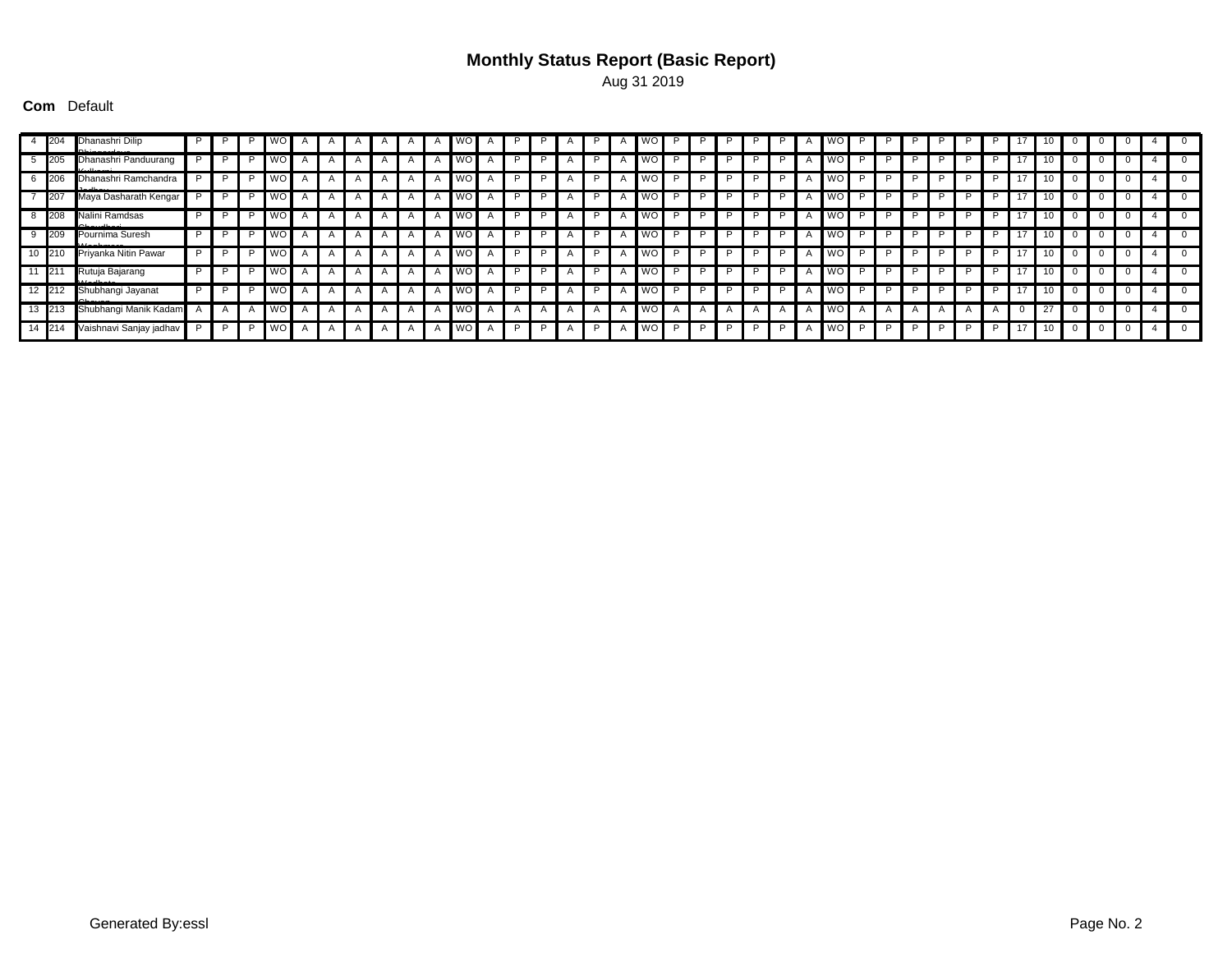## **Monthly Status Report (Basic Report)**

Aug 31 2019

**Com** Default

| 4 204          | Dhanashri Dilip                       |   |           |  |  |  |    |  |  |  |  |  |  |  |  |  |  |     |    |  |                |  |
|----------------|---------------------------------------|---|-----------|--|--|--|----|--|--|--|--|--|--|--|--|--|--|-----|----|--|----------------|--|
| 5 205          | Dhanashri Panduurang<br>$\sim$ $\sim$ |   |           |  |  |  |    |  |  |  |  |  |  |  |  |  |  |     |    |  |                |  |
| 6 206          | Dhanashri Ramchandra                  |   |           |  |  |  |    |  |  |  |  |  |  |  |  |  |  |     |    |  |                |  |
| 207            | Maya Dasharath Kengar                 |   |           |  |  |  |    |  |  |  |  |  |  |  |  |  |  |     |    |  |                |  |
| 8 208          | Nalini Ramdsas                        |   |           |  |  |  |    |  |  |  |  |  |  |  |  |  |  |     |    |  |                |  |
| 9 209          | Pournima Suresh                       |   |           |  |  |  | w٥ |  |  |  |  |  |  |  |  |  |  |     |    |  |                |  |
| 10 210         | Priyanka Nitin Pawar                  |   |           |  |  |  |    |  |  |  |  |  |  |  |  |  |  |     |    |  | $\overline{4}$ |  |
| $11 \quad 21'$ | Rutuja Bajarang                       |   |           |  |  |  |    |  |  |  |  |  |  |  |  |  |  |     |    |  |                |  |
| 12 212         | Shubhangi Jayanat                     |   |           |  |  |  |    |  |  |  |  |  |  |  |  |  |  |     |    |  |                |  |
| 13 213         | Shubhangi Manik Kadam                 |   |           |  |  |  |    |  |  |  |  |  |  |  |  |  |  |     | 27 |  | $\overline{a}$ |  |
| 14 214         | Vaishnavi Sanjay jadhav               | D | <b>WC</b> |  |  |  | w٥ |  |  |  |  |  |  |  |  |  |  | -17 | 10 |  | $\overline{4}$ |  |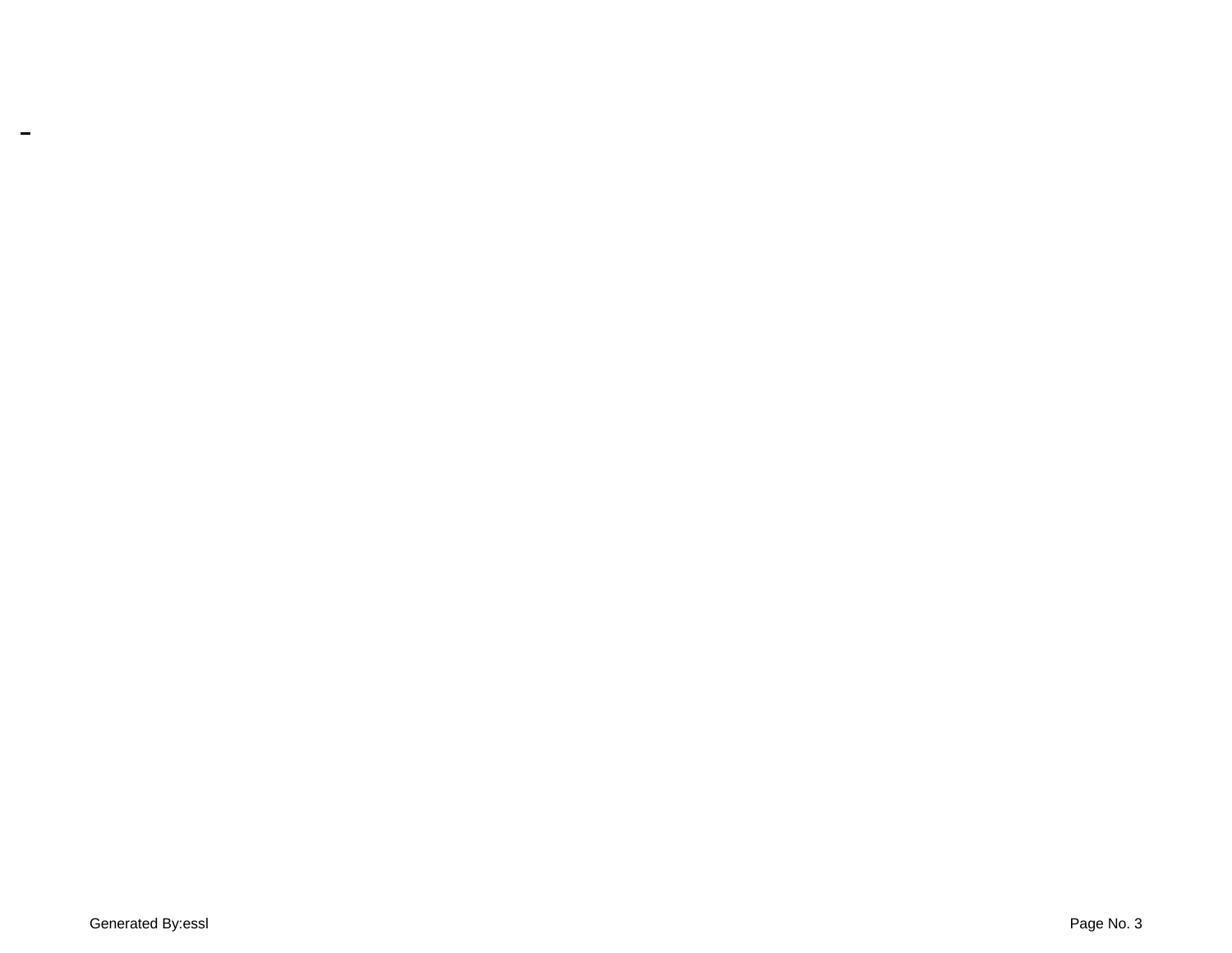÷,